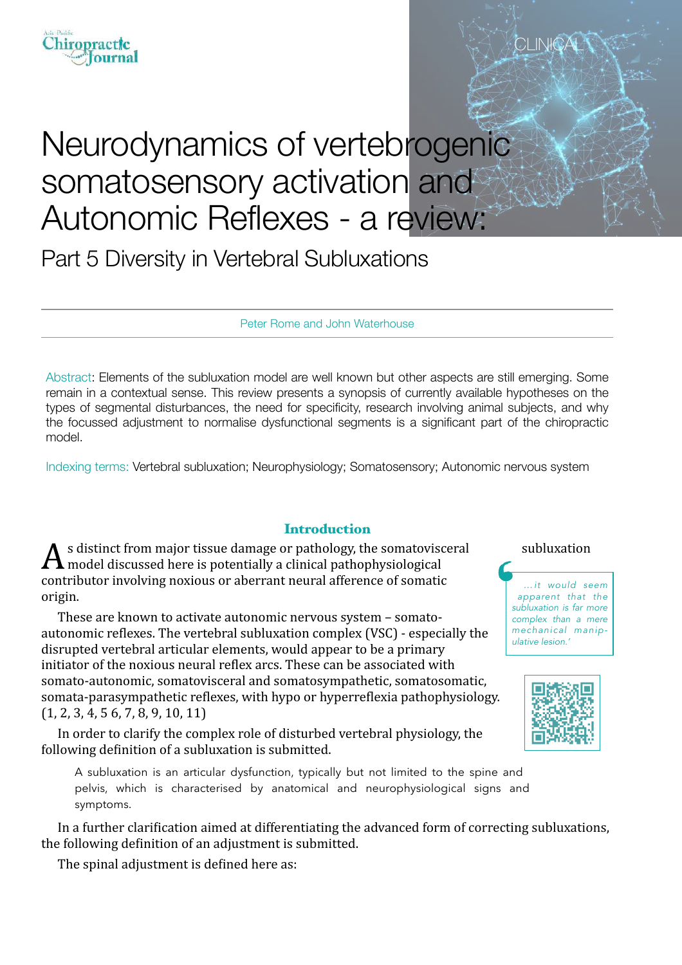

# Neurodynamics of vertebrogenic somatosensory activation and Autonomic Reflexes - a review:

Part 5 Diversity in Vertebral Subluxations

Peter Rome and John Waterhouse

Abstract: Elements of the subluxation model are well known but other aspects are still emerging. Some remain in a contextual sense. This review presents a synopsis of currently available hypotheses on the types of segmental disturbances, the need for specificity, research involving animal subjects, and why the focussed adjustment to normalise dysfunctional segments is a significant part of the chiropractic model.

Indexing terms: Vertebral subluxation; Neurophysiology; Somatosensory; Autonomic nervous system

### **Introduction**

s distinct from major tissue damage or pathology, the somatovisceral subluxation model discussed here is potentially a clinical pathophysiological contributor involving noxious or aberrant neural afference of somatic origin.

These are known to activate autonomic nervous system - somatoautonomic reflexes. The vertebral subluxation complex (VSC) - especially the disrupted vertebral articular elements, would appear to be a primary initiator of the noxious neural reflex arcs. These can be associated with somato-autonomic, somatovisceral and somatosympathetic, somatosomatic, somata-parasympathetic reflexes, with hypo or hyperreflexia pathophysiology.  $(1, 2, 3, 4, 5, 6, 7, 8, 9, 10, 11)$ 

In order to clarify the complex role of disturbed vertebral physiology, the following definition of a subluxation is submitted.

A subluxation is an articular dysfunction, typically but not limited to the spine and pelvis, which is characterised by anatomical and neurophysiological signs and symptoms.

In a further clarification aimed at differentiating the advanced form of correcting subluxations, the following definition of an adjustment is submitted.

The spinal adjustment is defined here as:

CLIN<del>I</del>C

*…it would seem apparent that the subluxation is far more complex than a mere mechanical manipulative lesion.'* 

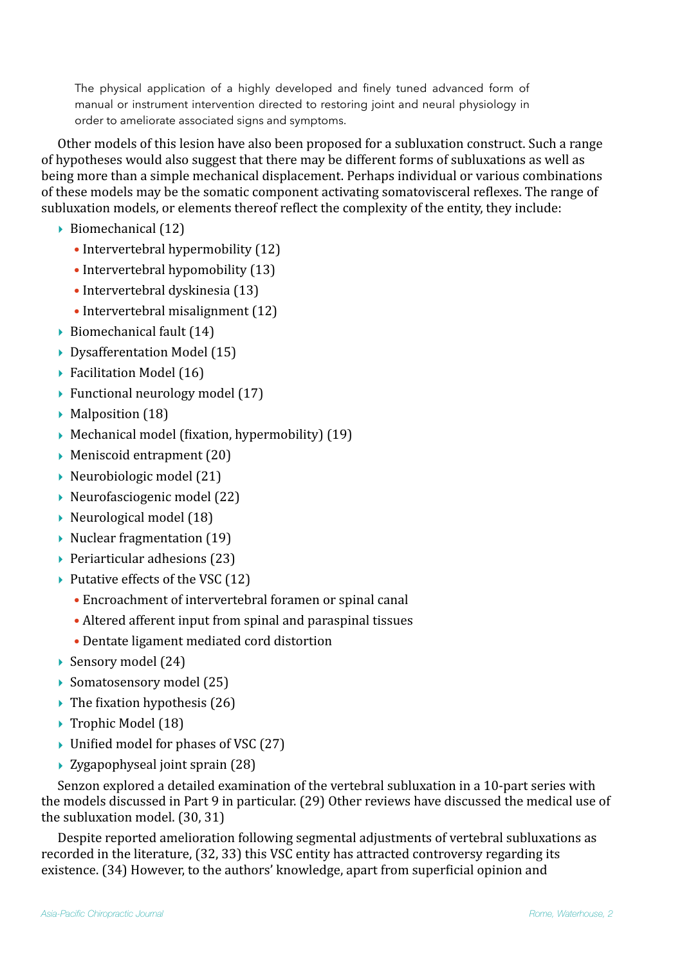The physical application of a highly developed and finely tuned advanced form of manual or instrument intervention directed to restoring joint and neural physiology in order to ameliorate associated signs and symptoms.

Other models of this lesion have also been proposed for a subluxation construct. Such a range of hypotheses would also suggest that there may be different forms of subluxations as well as being more than a simple mechanical displacement. Perhaps individual or various combinations of these models may be the somatic component activating somatovisceral reflexes. The range of subluxation models, or elements thereof reflect the complexity of the entity, they include:

- $\triangleright$  Biomechanical (12)
	- $\bullet$  Intervertebral hypermobility  $(12)$
	- $\bullet$  Intervertebral hypomobility  $(13)$
	- $\bullet$  Intervertebral dyskinesia (13)
	- $\bullet$  Intervertebral misalignment  $(12)$
- $\triangleright$  Biomechanical fault (14)
- ▶ Dysafferentation Model (15)
- ▶ Facilitation Model (16)
- $\blacktriangleright$  Functional neurology model (17)
- $\blacktriangleright$  Malposition (18)
- $\blacktriangleright$  Mechanical model (fixation, hypermobility) (19)
- $\blacktriangleright$  Meniscoid entrapment (20)
- $\triangleright$  Neurobiologic model (21)
- $\blacktriangleright$  Neurofasciogenic model (22)
- $\triangleright$  Neurological model (18)
- $\blacktriangleright$  Nuclear fragmentation (19)
- $\rightarrow$  Periarticular adhesions (23)
- $\blacktriangleright$  Putative effects of the VSC (12)
	- Encroachment of intervertebral foramen or spinal canal
	- Altered afferent input from spinal and paraspinal tissues
	- Dentate ligament mediated cord distortion
- ▶ Sensory model (24)
- $\blacktriangleright$  Somatosensory model (25)
- $\blacktriangleright$  The fixation hypothesis (26)
- ▶ Trophic Model (18)
- $\triangleright$  Unified model for phases of VSC (27)
- $\rightarrow$  Zygapophyseal joint sprain (28)

Senzon explored a detailed examination of the vertebral subluxation in a 10-part series with the models discussed in Part 9 in particular. (29) Other reviews have discussed the medical use of the subluxation model.  $(30, 31)$ 

Despite reported amelioration following segmental adjustments of vertebral subluxations as recorded in the literature, (32, 33) this VSC entity has attracted controversy regarding its existence. (34) However, to the authors' knowledge, apart from superficial opinion and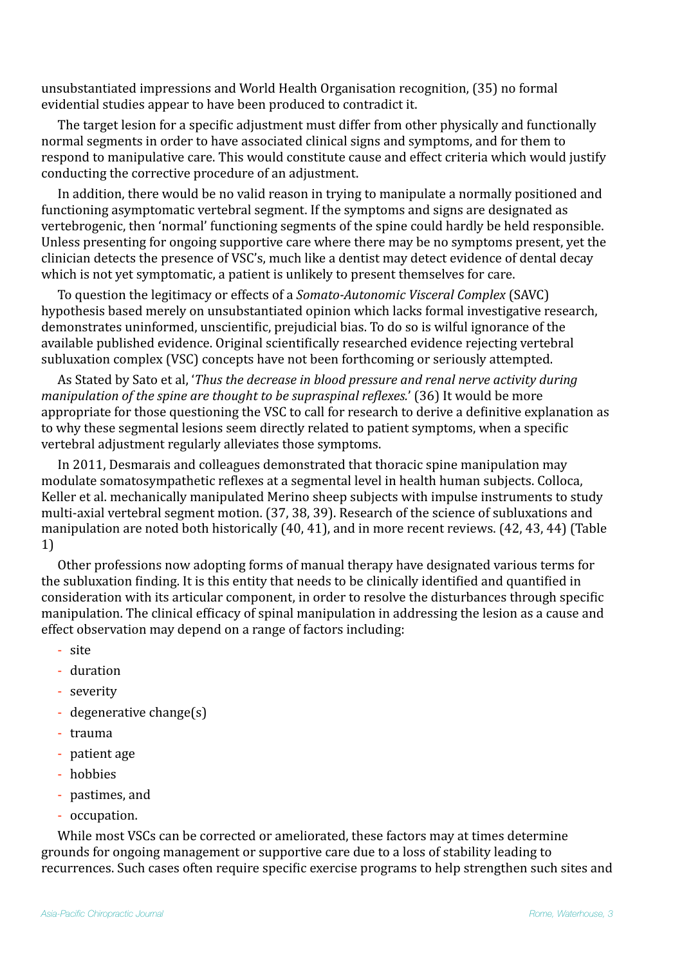unsubstantiated impressions and World Health Organisation recognition, (35) no formal evidential studies appear to have been produced to contradict it.

The target lesion for a specific adjustment must differ from other physically and functionally normal segments in order to have associated clinical signs and symptoms, and for them to respond to manipulative care. This would constitute cause and effect criteria which would justify conducting the corrective procedure of an adjustment.

In addition, there would be no valid reason in trying to manipulate a normally positioned and functioning asymptomatic vertebral segment. If the symptoms and signs are designated as vertebrogenic, then 'normal' functioning segments of the spine could hardly be held responsible. Unless presenting for ongoing supportive care where there may be no symptoms present, yet the clinician detects the presence of VSC's, much like a dentist may detect evidence of dental decay which is not yet symptomatic, a patient is unlikely to present themselves for care.

To question the legitimacy or effects of a *Somato-Autonomic Visceral Complex* (SAVC) hypothesis based merely on unsubstantiated opinion which lacks formal investigative research, demonstrates uninformed, unscientific, prejudicial bias. To do so is wilful ignorance of the available published evidence. Original scientifically researched evidence rejecting vertebral subluxation complex (VSC) concepts have not been forthcoming or seriously attempted.

As Stated by Sato et al, '*Thus the decrease in blood pressure and renal nerve activity during manipulation of the spine are thought to be supraspinal reflexes.'* (36) It would be more appropriate for those questioning the VSC to call for research to derive a definitive explanation as to why these segmental lesions seem directly related to patient symptoms, when a specific vertebral adjustment regularly alleviates those symptoms.

In 2011, Desmarais and colleagues demonstrated that thoracic spine manipulation may modulate somatosympathetic reflexes at a segmental level in health human subjects. Colloca, Keller et al. mechanically manipulated Merino sheep subjects with impulse instruments to study multi-axial vertebral segment motion. (37, 38, 39). Research of the science of subluxations and manipulation are noted both historically (40, 41), and in more recent reviews. (42, 43, 44) (Table 1)

Other professions now adopting forms of manual therapy have designated various terms for the subluxation finding. It is this entity that needs to be clinically identified and quantified in consideration with its articular component, in order to resolve the disturbances through specific manipulation. The clinical efficacy of spinal manipulation in addressing the lesion as a cause and effect observation may depend on a range of factors including:

- site
- duration
- severity
- degenerative change $(s)$
- trauma
- patient age
- hobbies
- pastimes, and
- occupation.

While most VSCs can be corrected or ameliorated, these factors may at times determine grounds for ongoing management or supportive care due to a loss of stability leading to recurrences. Such cases often require specific exercise programs to help strengthen such sites and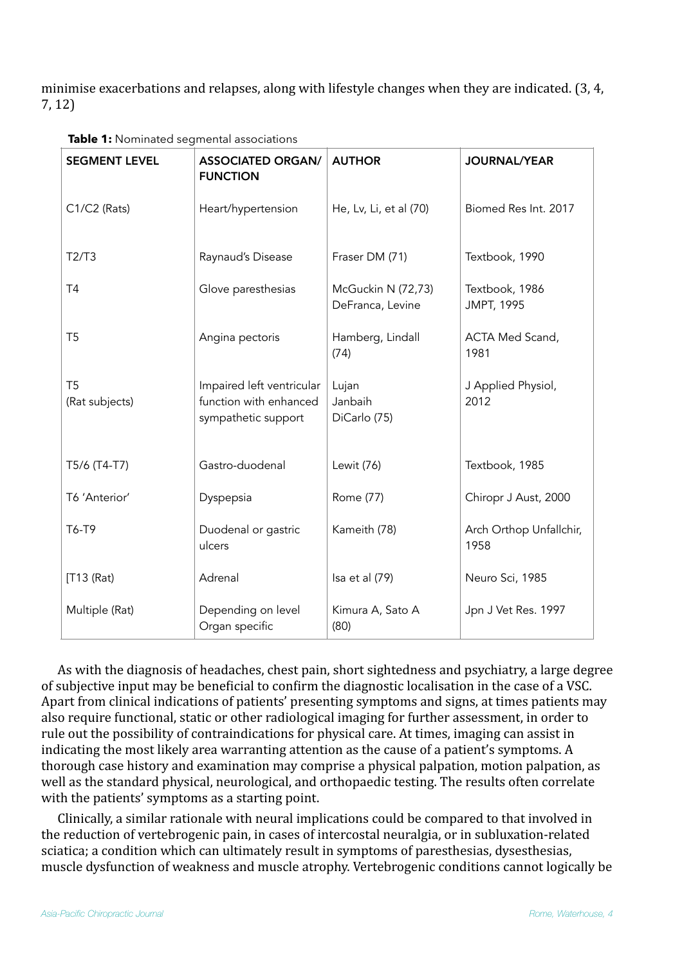minimise exacerbations and relapses, along with lifestyle changes when they are indicated. (3, 4, 7, 12)

| <b>SEGMENT LEVEL</b>             | <b>ASSOCIATED ORGAN/</b><br><b>FUNCTION</b>                                | <b>AUTHOR</b>                          | <b>JOURNAL/YEAR</b>                 |
|----------------------------------|----------------------------------------------------------------------------|----------------------------------------|-------------------------------------|
| C1/C2 (Rats)                     | Heart/hypertension                                                         | He, Lv, Li, et al (70)                 | Biomed Res Int. 2017                |
| T2/T3                            | Raynaud's Disease                                                          | Fraser DM (71)                         | Textbook, 1990                      |
| <b>T4</b>                        | Glove paresthesias                                                         | McGuckin N (72,73)<br>DeFranca, Levine | Textbook, 1986<br><b>JMPT, 1995</b> |
| T5                               | Angina pectoris                                                            | Hamberg, Lindall<br>(74)               | ACTA Med Scand,<br>1981             |
| T <sub>5</sub><br>(Rat subjects) | Impaired left ventricular<br>function with enhanced<br>sympathetic support | Lujan<br>Janbaih<br>DiCarlo (75)       | J Applied Physiol,<br>2012          |
| T5/6 (T4-T7)                     | Gastro-duodenal                                                            | Lewit (76)                             | Textbook, 1985                      |
| T6 'Anterior'                    | Dyspepsia                                                                  | Rome (77)                              | Chiropr J Aust, 2000                |
| T6-T9                            | Duodenal or gastric<br>ulcers                                              | Kameith (78)                           | Arch Orthop Unfallchir,<br>1958     |
| [T13 (Rat)                       | Adrenal                                                                    | Isa et al (79)                         | Neuro Sci, 1985                     |
| Multiple (Rat)                   | Depending on level<br>Organ specific                                       | Kimura A, Sato A<br>(80)               | Jpn J Vet Res. 1997                 |

**Table 1:** Nominated segmental associations

As with the diagnosis of headaches, chest pain, short sightedness and psychiatry, a large degree of subjective input may be beneficial to confirm the diagnostic localisation in the case of a VSC. Apart from clinical indications of patients' presenting symptoms and signs, at times patients may also require functional, static or other radiological imaging for further assessment, in order to rule out the possibility of contraindications for physical care. At times, imaging can assist in indicating the most likely area warranting attention as the cause of a patient's symptoms. A thorough case history and examination may comprise a physical palpation, motion palpation, as well as the standard physical, neurological, and orthopaedic testing. The results often correlate with the patients' symptoms as a starting point.

Clinically, a similar rationale with neural implications could be compared to that involved in the reduction of vertebrogenic pain, in cases of intercostal neuralgia, or in subluxation-related sciatica; a condition which can ultimately result in symptoms of paresthesias, dysesthesias, muscle dysfunction of weakness and muscle atrophy. Vertebrogenic conditions cannot logically be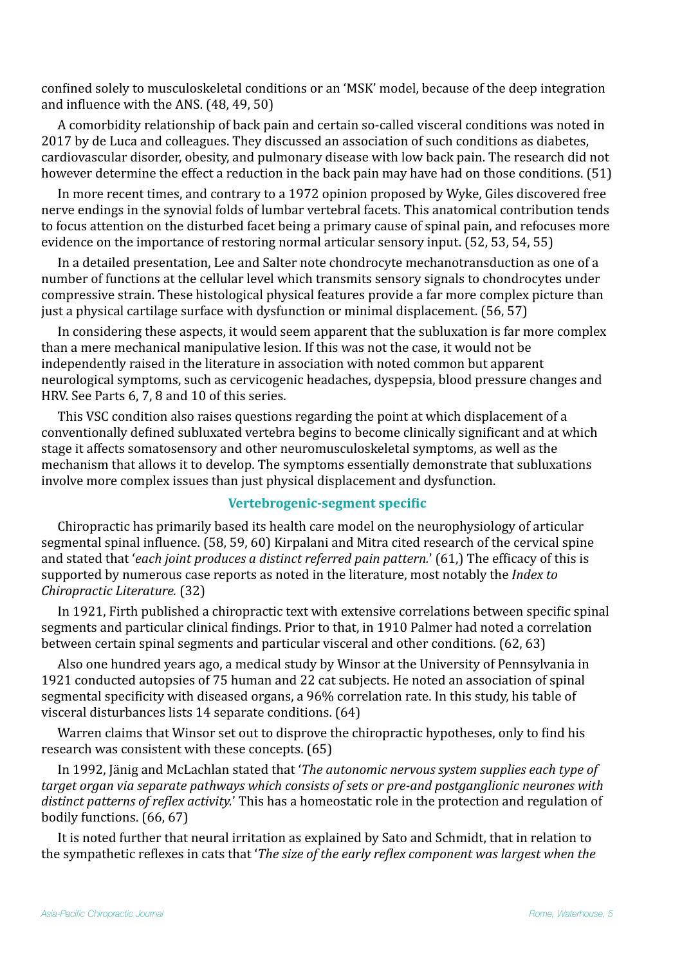confined solely to musculoskeletal conditions or an 'MSK' model, because of the deep integration and influence with the ANS.  $(48, 49, 50)$ 

A comorbidity relationship of back pain and certain so-called visceral conditions was noted in 2017 by de Luca and colleagues. They discussed an association of such conditions as diabetes, cardiovascular disorder, obesity, and pulmonary disease with low back pain. The research did not however determine the effect a reduction in the back pain may have had on those conditions. (51)

In more recent times, and contrary to a 1972 opinion proposed by Wyke, Giles discovered free nerve endings in the synovial folds of lumbar vertebral facets. This anatomical contribution tends to focus attention on the disturbed facet being a primary cause of spinal pain, and refocuses more evidence on the importance of restoring normal articular sensory input. (52, 53, 54, 55)

In a detailed presentation, Lee and Salter note chondrocyte mechanotransduction as one of a number of functions at the cellular level which transmits sensory signals to chondrocytes under compressive strain. These histological physical features provide a far more complex picture than just a physical cartilage surface with dysfunction or minimal displacement.  $(56, 57)$ 

In considering these aspects, it would seem apparent that the subluxation is far more complex than a mere mechanical manipulative lesion. If this was not the case, it would not be independently raised in the literature in association with noted common but apparent neurological symptoms, such as cervicogenic headaches, dyspepsia, blood pressure changes and HRV. See Parts 6, 7, 8 and 10 of this series.

This VSC condition also raises questions regarding the point at which displacement of a conventionally defined subluxated vertebra begins to become clinically significant and at which stage it affects somatosensory and other neuromusculoskeletal symptoms, as well as the mechanism that allows it to develop. The symptoms essentially demonstrate that subluxations involve more complex issues than just physical displacement and dysfunction.

# **Vertebrogenic-segment specific**

Chiropractic has primarily based its health care model on the neurophysiology of articular segmental spinal influence. (58, 59, 60) Kirpalani and Mitra cited research of the cervical spine and stated that *'each joint produces a distinct referred pain pattern.'* (61.) The efficacy of this is supported by numerous case reports as noted in the literature, most notably the *Index to Chiropractic Literature.* (32)

In 1921, Firth published a chiropractic text with extensive correlations between specific spinal segments and particular clinical findings. Prior to that, in 1910 Palmer had noted a correlation between certain spinal segments and particular visceral and other conditions. (62, 63)

Also one hundred years ago, a medical study by Winsor at the University of Pennsylvania in 1921 conducted autopsies of 75 human and 22 cat subjects. He noted an association of spinal segmental specificity with diseased organs, a 96% correlation rate. In this study, his table of visceral disturbances lists 14 separate conditions. (64)

Warren claims that Winsor set out to disprove the chiropractic hypotheses, only to find his research was consistent with these concepts. (65)

In 1992, Jänig and McLachlan stated that '*The autonomic nervous system supplies each type of target organ via separate pathways which consists of sets or pre-and postganglionic neurones with distinct patterns of reflex activity.*' This has a homeostatic role in the protection and regulation of bodily functions. (66, 67)

It is noted further that neural irritation as explained by Sato and Schmidt, that in relation to the sympathetic reflexes in cats that '*The size of the early reflex component was largest when the*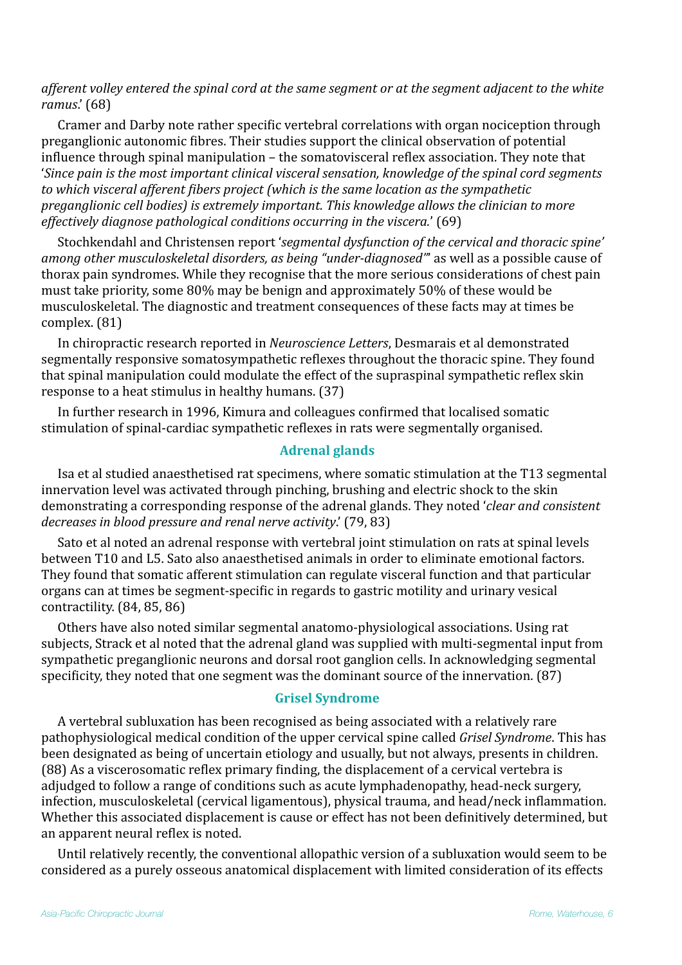afferent volley entered the spinal cord at the same segment or at the segment adjacent to the white *ramus*.' (68) 

Cramer and Darby note rather specific vertebral correlations with organ nociception through preganglionic autonomic fibres. Their studies support the clinical observation of potential influence through spinal manipulation – the somatovisceral reflex association. They note that '*Since pain is the most important clinical visceral sensation, knowledge of the spinal cord segments* to which visceral afferent fibers project (which is the same location as the sympathetic *preganglionic cell bodies)* is extremely important. This knowledge allows the clinician to more *effectively diagnose pathological conditions occurring in the viscera.'* (69)

Stochkendahl and Christensen report 'segmental dysfunction of the cervical and thoracic spine' *among other musculoskeletal disorders, as being "under-diagnosed"* as well as a possible cause of thorax pain syndromes. While they recognise that the more serious considerations of chest pain must take priority, some 80% may be benign and approximately 50% of these would be musculoskeletal. The diagnostic and treatment consequences of these facts may at times be complex. (81)

In chiropractic research reported in *Neuroscience Letters*, Desmarais et al demonstrated segmentally responsive somatosympathetic reflexes throughout the thoracic spine. They found that spinal manipulation could modulate the effect of the supraspinal sympathetic reflex skin response to a heat stimulus in healthy humans. (37)

In further research in 1996, Kimura and colleagues confirmed that localised somatic stimulation of spinal-cardiac sympathetic reflexes in rats were segmentally organised.

# **Adrenal glands**

Isa et al studied anaesthetised rat specimens, where somatic stimulation at the T13 segmental innervation level was activated through pinching, brushing and electric shock to the skin demonstrating a corresponding response of the adrenal glands. They noted '*clear and consistent decreases in blood pressure and renal nerve activity.'* (79, 83)

Sato et al noted an adrenal response with vertebral joint stimulation on rats at spinal levels between T10 and L5. Sato also anaesthetised animals in order to eliminate emotional factors. They found that somatic afferent stimulation can regulate visceral function and that particular organs can at times be segment-specific in regards to gastric motility and urinary vesical contractility.  $(84, 85, 86)$ 

Others have also noted similar segmental anatomo-physiological associations. Using rat subjects, Strack et al noted that the adrenal gland was supplied with multi-segmental input from sympathetic preganglionic neurons and dorsal root ganglion cells. In acknowledging segmental specificity, they noted that one segment was the dominant source of the innervation. (87)

### **Grisel Syndrome**

A vertebral subluxation has been recognised as being associated with a relatively rare pathophysiological medical condition of the upper cervical spine called *Grisel Syndrome*. This has been designated as being of uncertain etiology and usually, but not always, presents in children. (88) As a viscerosomatic reflex primary finding, the displacement of a cervical vertebra is adjudged to follow a range of conditions such as acute lymphadenopathy, head-neck surgery, infection, musculoskeletal (cervical ligamentous), physical trauma, and head/neck inflammation. Whether this associated displacement is cause or effect has not been definitively determined, but an apparent neural reflex is noted.

Until relatively recently, the conventional allopathic version of a subluxation would seem to be considered as a purely osseous anatomical displacement with limited consideration of its effects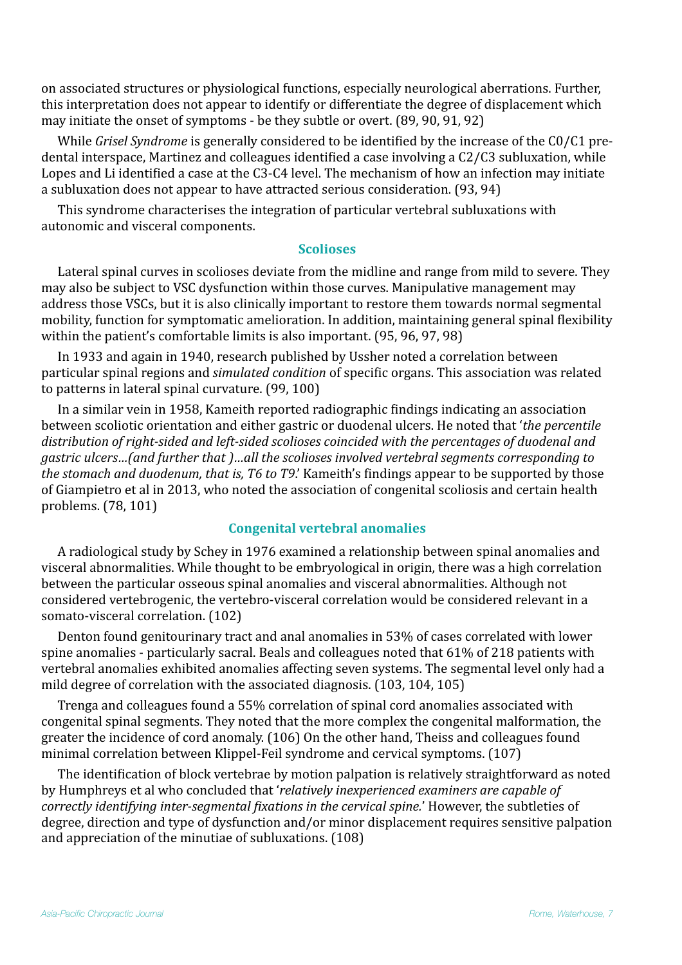on associated structures or physiological functions, especially neurological aberrations. Further, this interpretation does not appear to identify or differentiate the degree of displacement which may initiate the onset of symptoms - be they subtle or overt. (89, 90, 91, 92)

While *Grisel Syndrome* is generally considered to be identified by the increase of the C0/C1 predental interspace, Martinez and colleagues identified a case involving a C2/C3 subluxation, while Lopes and Li identified a case at the C3-C4 level. The mechanism of how an infection may initiate a subluxation does not appear to have attracted serious consideration. (93, 94)

This syndrome characterises the integration of particular vertebral subluxations with autonomic and visceral components.

#### **Scolioses**

Lateral spinal curves in scolioses deviate from the midline and range from mild to severe. They may also be subject to VSC dysfunction within those curves. Manipulative management may address those VSCs, but it is also clinically important to restore them towards normal segmental mobility, function for symptomatic amelioration. In addition, maintaining general spinal flexibility within the patient's comfortable limits is also important.  $(95, 96, 97, 98)$ 

In 1933 and again in 1940, research published by Ussher noted a correlation between particular spinal regions and *simulated condition* of specific organs. This association was related to patterns in lateral spinal curvature. (99, 100)

In a similar vein in 1958, Kameith reported radiographic findings indicating an association between scoliotic orientation and either gastric or duodenal ulcers. He noted that 'the percentile distribution of right-sided and left-sided scolioses coincided with the percentages of duodenal and *gastric ulcers…(and further that )…all the scolioses involved vertebral segments corresponding to the stomach and duodenum, that is, T6 to T9.'* Kameith's findings appear to be supported by those of Giampietro et al in 2013, who noted the association of congenital scoliosis and certain health problems. (78, 101)

### **Congenital vertebral anomalies**

A radiological study by Schey in 1976 examined a relationship between spinal anomalies and visceral abnormalities. While thought to be embryological in origin, there was a high correlation between the particular osseous spinal anomalies and visceral abnormalities. Although not considered vertebrogenic, the vertebro-visceral correlation would be considered relevant in a somato-visceral correlation. (102)

Denton found genitourinary tract and anal anomalies in 53% of cases correlated with lower spine anomalies - particularly sacral. Beals and colleagues noted that  $61\%$  of 218 patients with vertebral anomalies exhibited anomalies affecting seven systems. The segmental level only had a mild degree of correlation with the associated diagnosis. (103, 104, 105)

Trenga and colleagues found a 55% correlation of spinal cord anomalies associated with congenital spinal segments. They noted that the more complex the congenital malformation, the greater the incidence of cord anomaly. (106) On the other hand, Theiss and colleagues found minimal correlation between Klippel-Feil syndrome and cervical symptoms. (107)

The identification of block vertebrae by motion palpation is relatively straightforward as noted by Humphreys et al who concluded that 'relatively inexperienced examiners are capable of *correctly identifying inter-segmental fixations in the cervical spine.'* However, the subtleties of degree, direction and type of dysfunction and/or minor displacement requires sensitive palpation and appreciation of the minutiae of subluxations. (108)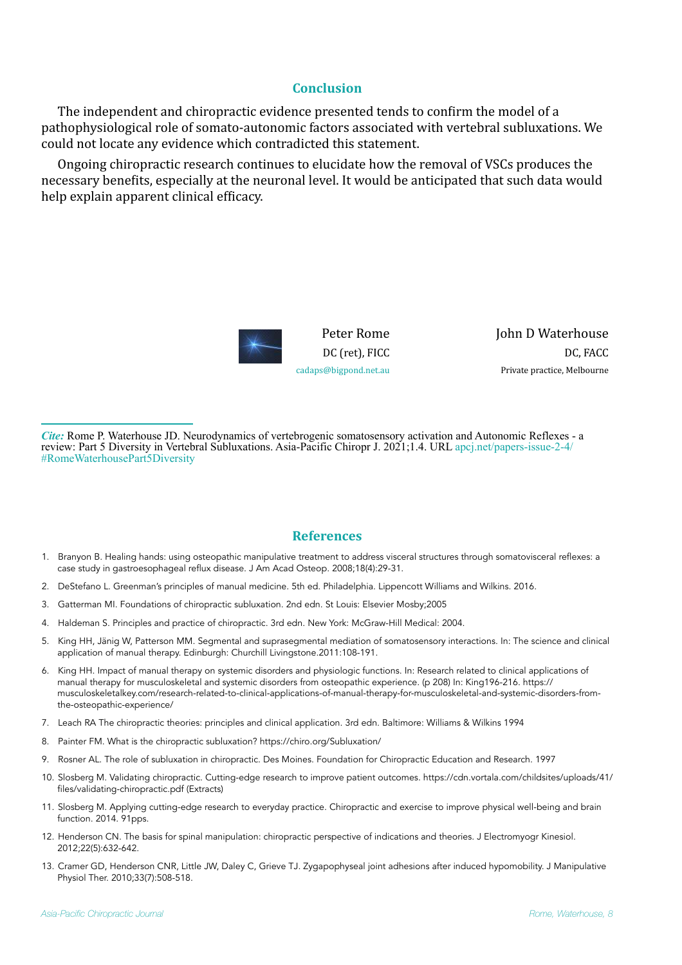#### **Conclusion**

The independent and chiropractic evidence presented tends to confirm the model of a pathophysiological role of somato-autonomic factors associated with vertebral subluxations. We could not locate any evidence which contradicted this statement.

Ongoing chiropractic research continues to elucidate how the removal of VSCs produces the necessary benefits, especially at the neuronal level. It would be anticipated that such data would help explain apparent clinical efficacy.



Peter Rome DC (ret), FICC [cadaps@bigpond.net.au](mailto:cadaps@bigpond.net.au) John D Waterhouse DC. FACC Private practice, Melbourne

*Cite:* Rome P. Waterhouse JD. Neurodynamics of vertebrogenic somatosensory activation and Autonomic Reflexes - a review: Part 5 Diversity in Vertebral Subluxations. Asia-Pacific Chiropr J. 2021;1.4. URL [apcj.net/papers-issue-2-4/](http://apcj.net/papers-issue-2-4/#RomeWaterhousePart5Diversity) [#RomeWaterhousePart5Diversity](http://apcj.net/papers-issue-2-4/#RomeWaterhousePart5Diversity)

### **References**

- 1. Branyon B. Healing hands: using osteopathic manipulative treatment to address visceral structures through somatovisceral reflexes: a case study in gastroesophageal reflux disease. J Am Acad Osteop. 2008;18(4):29-31.
- 2. DeStefano L. Greenman's principles of manual medicine. 5th ed. Philadelphia. Lippencott Williams and Wilkins. 2016.
- 3. Gatterman MI. Foundations of chiropractic subluxation. 2nd edn. St Louis: Elsevier Mosby;2005
- 4. Haldeman S. Principles and practice of chiropractic. 3rd edn. New York: McGraw-Hill Medical: 2004.
- 5. King HH, Jänig W, Patterson MM. Segmental and suprasegmental mediation of somatosensory interactions. In: The science and clinical application of manual therapy. Edinburgh: Churchill Livingstone.2011:108-191.
- 6. King HH. Impact of manual therapy on systemic disorders and physiologic functions. In: Research related to clinical applications of manual therapy for musculoskeletal and systemic disorders from osteopathic experience. (p 208) In: King196-216. [https://](https://musculoskeletalkey.com/research-related-to-clinical-applications-of-manual-therapy-for-musculoskeletal-and-systemic-disorders-from-the-osteopathic-experience/) [musculoskeletalkey.com/research-related-to-clinical-applications-of-manual-therapy-for-musculoskeletal-and-systemic-disorders-from](https://musculoskeletalkey.com/research-related-to-clinical-applications-of-manual-therapy-for-musculoskeletal-and-systemic-disorders-from-the-osteopathic-experience/)[the-osteopathic-experience/](https://musculoskeletalkey.com/research-related-to-clinical-applications-of-manual-therapy-for-musculoskeletal-and-systemic-disorders-from-the-osteopathic-experience/)
- 7. Leach RA The chiropractic theories: principles and clinical application. 3rd edn. Baltimore: Williams & Wilkins 1994
- 8. Painter FM. What is the chiropractic subluxation? <https://chiro.org/Subluxation/>
- 9. Rosner AL. The role of subluxation in chiropractic. Des Moines. Foundation for Chiropractic Education and Research. 1997
- 10. Slosberg M. Validating chiropractic. Cutting-edge research to improve patient outcomes. [https://cdn.vortala.com/childsites/uploads/41/](https://cdn.vortala.com/childsites/uploads/41/files/validating-chiropractic.pdf) [files/validating-chiropractic.pdf](https://cdn.vortala.com/childsites/uploads/41/files/validating-chiropractic.pdf) (Extracts)
- 11. Slosberg M. Applying cutting-edge research to everyday practice. Chiropractic and exercise to improve physical well-being and brain function. 2014. 91pps.
- 12. Henderson CN. The basis for spinal manipulation: chiropractic perspective of indications and theories. J Electromyogr Kinesiol. 2012;22(5):632-642.
- 13. Cramer GD, Henderson CNR, Little JW, Daley C, Grieve TJ. Zygapophyseal joint adhesions after induced hypomobility. J Manipulative Physiol Ther. 2010;33(7):508-518.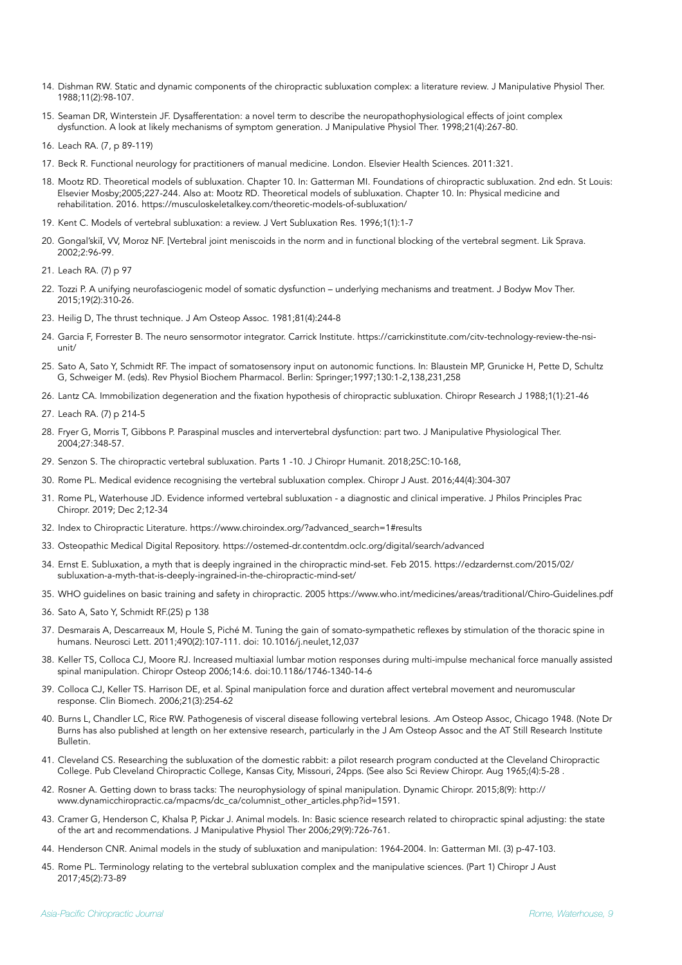- 14. Dishman RW. Static and dynamic components of the chiropractic subluxation complex: a literature review. J Manipulative Physiol Ther. 1988;11(2):98-107.
- 15. Seaman DR, Winterstein JF. Dysafferentation: a novel term to describe the neuropathophysiological effects of joint complex dysfunction. A look at likely mechanisms of symptom generation. J Manipulative Physiol Ther. 1998;21(4):267-80.
- 16. Leach RA. (7, p 89-119)
- 17. Beck R. Functional neurology for practitioners of manual medicine. London. Elsevier Health Sciences. 2011:321.
- 18. Mootz RD. Theoretical models of subluxation. Chapter 10. In: Gatterman MI. Foundations of chiropractic subluxation. 2nd edn. St Louis: Elsevier Mosby;2005;227-244. Also at: Mootz RD. Theoretical models of subluxation. Chapter 10. In: Physical medicine and rehabilitation. 2016. https://musculoskeletalkey.com/theoretic-models-of-subluxation/
- 19. Kent C. Models of vertebral subluxation: a review. J Vert Subluxation Res. 1996;1(1):1-7
- 20. Gongal'skiǐ, VV, Moroz NF. [Vertebral joint meniscoids in the norm and in functional blocking of the vertebral segment. Lik Sprava. 2002;2:96-99.
- 21. Leach RA. (7) p 97
- 22. Tozzi P. A unifying neurofasciogenic model of somatic dysfunction underlying mechanisms and treatment. J Bodyw Mov Ther. 2015;19(2):310-26.
- 23. Heilig D, The thrust technique. J Am Osteop Assoc. 1981;81(4):244-8
- 24. Garcia F, Forrester B. The neuro sensormotor integrator. Carrick Institute. https://carrickinstitute.com/citv-technology-review-the-nsiunit/
- 25. Sato A, Sato Y, Schmidt RF. The impact of somatosensory input on autonomic functions. In: Blaustein MP, Grunicke H, Pette D, Schultz G, Schweiger M. (eds). Rev Physiol Biochem Pharmacol. Berlin: Springer;1997;130:1-2,138,231,258
- 26. Lantz CA. Immobilization degeneration and the fixation hypothesis of chiropractic subluxation. Chiropr Research J 1988;1(1):21-46
- 27. Leach RA. (7) p 214-5
- 28. Fryer G, Morris T, Gibbons P. Paraspinal muscles and intervertebral dysfunction: part two. J Manipulative Physiological Ther. 2004;27:348-57.
- 29. Senzon S. The chiropractic vertebral subluxation. Parts 1 -10. J Chiropr Humanit. 2018;25C:10-168,
- 30. Rome PL. Medical evidence recognising the vertebral subluxation complex. Chiropr J Aust. 2016;44(4):304-307
- 31. Rome PL, Waterhouse JD. Evidence informed vertebral subluxation a diagnostic and clinical imperative. J Philos Principles Prac Chiropr. 2019; Dec 2;12-34
- 32. Index to Chiropractic Literature. [https://www.chiroindex.org/?advanced\\_search=1#results](https://www.chiroindex.org/?advanced_search=1#results)
- 33. Osteopathic Medical Digital Repository. https://ostemed-dr.contentdm.oclc.org/digital/search/advanced
- 34. Ernst E. Subluxation, a myth that is deeply ingrained in the chiropractic mind-set. Feb 2015. [https://edzardernst.com/2015/02/](https://edzardernst.com/2015/02/subluxation-a-myth-that-is-deeply-ingrained-in-the-chiropractic-mind-set/) [subluxation-a-myth-that-is-deeply-ingrained-in-the-chiropractic-mind-set/](https://edzardernst.com/2015/02/subluxation-a-myth-that-is-deeply-ingrained-in-the-chiropractic-mind-set/)
- 35. WHO guidelines on basic training and safety in chiropractic. 2005 https://www.who.int/medicines/areas/traditional/Chiro-Guidelines.pdf
- 36. Sato A, Sato Y, Schmidt RF.(25) p 138
- 37. Desmarais A, Descarreaux M, Houle S, Piché M. Tuning the gain of somato-sympathetic reflexes by stimulation of the thoracic spine in humans. Neurosci Lett. 2011;490(2):107-111. doi: 10.1016/j.neulet,12,037
- 38. Keller TS, Colloca CJ, Moore RJ. Increased multiaxial lumbar motion responses during multi-impulse mechanical force manually assisted spinal manipulation. Chiropr Osteop 2006;14:6. doi:10.1186/1746-1340-14-6
- 39. Colloca CJ, Keller TS. Harrison DE, et al. Spinal manipulation force and duration affect vertebral movement and neuromuscular response. Clin Biomech. 2006;21(3):254-62
- 40. Burns L, Chandler LC, Rice RW. Pathogenesis of visceral disease following vertebral lesions. .Am Osteop Assoc, Chicago 1948. (Note Dr Burns has also published at length on her extensive research, particularly in the J Am Osteop Assoc and the AT Still Research Institute Bulletin.
- 41. Cleveland CS. Researching the subluxation of the domestic rabbit: a pilot research program conducted at the Cleveland Chiropractic College. Pub Cleveland Chiropractic College, Kansas City, Missouri, 24pps. (See also Sci Review Chiropr. Aug 1965;(4):5-28 .
- 42. Rosner A. Getting down to brass tacks: The neurophysiology of spinal manipulation. Dynamic Chiropr. 2015;8(9): [http://](http://www.dynamicchiropractic.ca/mpacms/dc_ca/columnist_other_articles.php?id=1591) [www.dynamicchiropractic.ca/mpacms/dc\\_ca/columnist\\_other\\_articles.php?id=1591.](http://www.dynamicchiropractic.ca/mpacms/dc_ca/columnist_other_articles.php?id=1591)
- 43. Cramer G, Henderson C, Khalsa P, Pickar J. Animal models. In: Basic science research related to chiropractic spinal adjusting: the state of the art and recommendations. J Manipulative Physiol Ther 2006;29(9):726-761.
- 44. Henderson CNR. Animal models in the study of subluxation and manipulation: 1964-2004. In: Gatterman MI. (3) p-47-103.
- 45. Rome PL. Terminology relating to the vertebral subluxation complex and the manipulative sciences. (Part 1) Chiropr J Aust 2017;45(2):73-89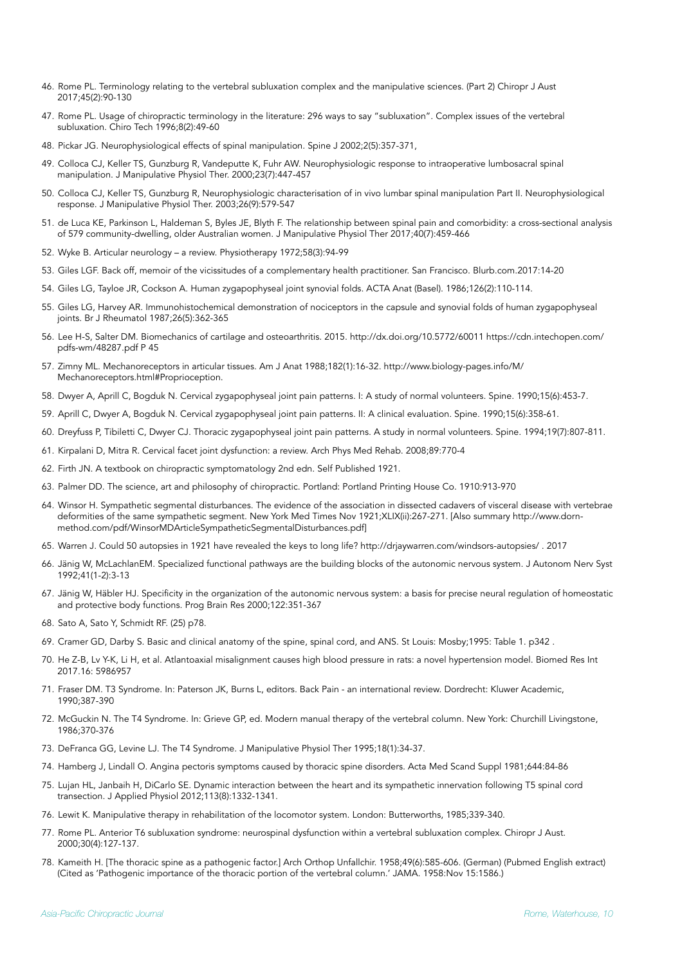- 46. Rome PL. Terminology relating to the vertebral subluxation complex and the manipulative sciences. (Part 2) Chiropr J Aust 2017;45(2):90-130
- 47. Rome PL. Usage of chiropractic terminology in the literature: 296 ways to say "subluxation". Complex issues of the vertebral subluxation. Chiro Tech 1996;8(2):49-60
- 48. Pickar JG. Neurophysiological effects of spinal manipulation. Spine J 2002;2(5):357-371,
- 49. Colloca CJ, Keller TS, Gunzburg R, Vandeputte K, Fuhr AW. Neurophysiologic response to intraoperative lumbosacral spinal manipulation. J Manipulative Physiol Ther. 2000;23(7):447-457
- 50. Colloca CJ, Keller TS, Gunzburg R, Neurophysiologic characterisation of in vivo lumbar spinal manipulation Part II. Neurophysiological response. J Manipulative Physiol Ther. 2003;26(9):579-547
- 51. de Luca KE, Parkinson L, Haldeman S, Byles JE, Blyth F. The relationship between spinal pain and comorbidity: a cross-sectional analysis of 579 community-dwelling, older Australian women. J Manipulative Physiol Ther 2017;40(7):459-466
- 52. Wyke B. Articular neurology a review. Physiotherapy 1972;58(3):94-99
- 53. Giles LGF. Back off, memoir of the vicissitudes of a complementary health practitioner. San Francisco. Blurb.com.2017:14-20
- 54. Giles LG, Tayloe JR, Cockson A. Human zygapophyseal joint synovial folds. ACTA Anat (Basel). 1986;126(2):110-114.
- 55. Giles LG, Harvey AR. Immunohistochemical demonstration of nociceptors in the capsule and synovial folds of human zygapophyseal joints. Br J Rheumatol 1987;26(5):362-365
- 56. Lee H-S, Salter DM. Biomechanics of cartilage and osteoarthritis. 2015. http://dx.doi.org/10.5772/60011 https://cdn.intechopen.com/ pdfs-wm/48287.pdf P 45
- 57. Zimny ML. Mechanoreceptors in articular tissues. Am J Anat 1988;182(1):16-32. [http://www.biology-pages.info/M/](http://www.biology-pages.info/M/Mechanoreceptors.html#Proprioception) [Mechanoreceptors.html#Proprioception.](http://www.biology-pages.info/M/Mechanoreceptors.html#Proprioception)
- 58. Dwyer A, Aprill C, Bogduk N. Cervical zygapophyseal joint pain patterns. I: A study of normal volunteers. Spine. 1990;15(6):453-7.
- 59. Aprill C, Dwyer A, Bogduk N. Cervical zygapophyseal joint pain patterns. II: A clinical evaluation. Spine. 1990;15(6):358-61.
- 60. Dreyfuss P, Tibiletti C, Dwyer CJ. Thoracic zygapophyseal joint pain patterns. A study in normal volunteers. Spine. 1994;19(7):807-811.
- 61. Kirpalani D, Mitra R. Cervical facet joint dysfunction: a review. Arch Phys Med Rehab. 2008;89:770-4
- 62. Firth JN. A textbook on chiropractic symptomatology 2nd edn. Self Published 1921.
- 63. Palmer DD. The science, art and philosophy of chiropractic. Portland: Portland Printing House Co. 1910:913-970
- 64. Winsor H. Sympathetic segmental disturbances. The evidence of the association in dissected cadavers of visceral disease with vertebrae deformities of the same sympathetic segment. New York Med Times Nov 1921;XLIX(ii):267-271. [Also summary [http://www.dorn](http://www.dorn-method.com/pdf/WinsorMDArticleSympatheticSegmentalDisturbances.pdf)[method.com/pdf/WinsorMDArticleSympatheticSegmentalDisturbances.pdf\]](http://www.dorn-method.com/pdf/WinsorMDArticleSympatheticSegmentalDisturbances.pdf)
- 65. Warren J. Could 50 autopsies in 1921 have revealed the keys to long life? <http://drjaywarren.com/windsors-autopsies/> . 2017
- 66. Jänig W, McLachlanEM. Specialized functional pathways are the building blocks of the autonomic nervous system. J Autonom Nerv Syst 1992;41(1-2):3-13
- 67. Jänig W, Häbler HJ. Specificity in the organization of the autonomic nervous system: a basis for precise neural regulation of homeostatic and protective body functions. Prog Brain Res 2000;122:351-367
- 68. Sato A, Sato Y, Schmidt RF. (25) p78.
- 69. Cramer GD, Darby S. Basic and clinical anatomy of the spine, spinal cord, and ANS. St Louis: Mosby;1995: Table 1. p342 .
- 70. He Z-B, Lv Y-K, Li H, et al. Atlantoaxial misalignment causes high blood pressure in rats: a novel hypertension model. Biomed Res Int 2017.16: 5986957
- 71. Fraser DM. T3 Syndrome. In: Paterson JK, Burns L, editors. Back Pain an international review. Dordrecht: Kluwer Academic, 1990;387-390
- 72. McGuckin N. The T4 Syndrome. In: Grieve GP, ed. Modern manual therapy of the vertebral column. New York: Churchill Livingstone, 1986;370-376
- 73. DeFranca GG, Levine LJ. The T4 Syndrome. J Manipulative Physiol Ther 1995;18(1):34-37.
- 74. Hamberg J, Lindall O. Angina pectoris symptoms caused by thoracic spine disorders. Acta Med Scand Suppl 1981;644:84-86
- 75. Lujan HL, Janbaih H, DiCarlo SE. Dynamic interaction between the heart and its sympathetic innervation following T5 spinal cord transection. J Applied Physiol 2012;113(8):1332-1341.
- 76. Lewit K. Manipulative therapy in rehabilitation of the locomotor system. London: Butterworths, 1985;339-340.
- 77. Rome PL. Anterior T6 subluxation syndrome: neurospinal dysfunction within a vertebral subluxation complex. Chiropr J Aust. 2000;30(4):127-137.
- 78. Kameith H. [The thoracic spine as a pathogenic factor.] Arch Orthop Unfallchir. 1958;49(6):585-606. (German) (Pubmed English extract) (Cited as 'Pathogenic importance of the thoracic portion of the vertebral column.' JAMA. 1958:Nov 15:1586.)